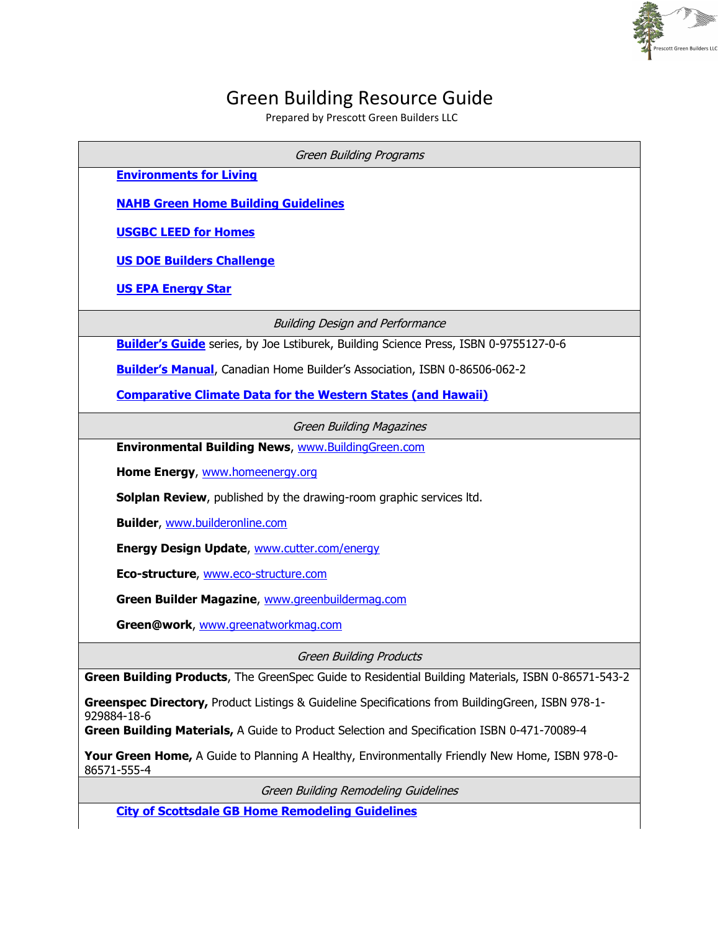## Green Building Resource Guide

ott Green Builders LLC

Prepared by Prescott Green Builders LLC

| <b>Green Building Programs</b>                                                                                  |  |  |  |  |
|-----------------------------------------------------------------------------------------------------------------|--|--|--|--|
| <b>Environments for Living</b>                                                                                  |  |  |  |  |
| <b>NAHB Green Home Building Guidelines</b>                                                                      |  |  |  |  |
| <b>USGBC LEED for Homes</b>                                                                                     |  |  |  |  |
| <b>US DOE Builders Challenge</b>                                                                                |  |  |  |  |
| <b>US EPA Energy Star</b>                                                                                       |  |  |  |  |
| <b>Building Design and Performance</b>                                                                          |  |  |  |  |
| Builder's Guide series, by Joe Lstiburek, Building Science Press, ISBN 0-9755127-0-6                            |  |  |  |  |
| <b>Builder's Manual</b> , Canadian Home Builder's Association, ISBN 0-86506-062-2                               |  |  |  |  |
| <b>Comparative Climate Data for the Western States (and Hawaii)</b>                                             |  |  |  |  |
| <b>Green Building Magazines</b>                                                                                 |  |  |  |  |
| Environmental Building News, www.BuildingGreen.com                                                              |  |  |  |  |
| Home Energy, www.homeenergy.org                                                                                 |  |  |  |  |
| <b>Solplan Review</b> , published by the drawing-room graphic services ltd.                                     |  |  |  |  |
| <b>Builder, www.builderonline.com</b>                                                                           |  |  |  |  |
| <b>Energy Design Update, www.cutter.com/energy</b>                                                              |  |  |  |  |
| Eco-structure, www.eco-structure.com                                                                            |  |  |  |  |
| Green Builder Magazine, www.greenbuildermag.com                                                                 |  |  |  |  |
| Green@work, www.greenatworkmag.com                                                                              |  |  |  |  |
| <b>Green Building Products</b>                                                                                  |  |  |  |  |
| Green Building Products, The GreenSpec Guide to Residential Building Materials, ISBN 0-86571-543-2              |  |  |  |  |
| Greenspec Directory, Product Listings & Guideline Specifications from BuildingGreen, ISBN 978-1-<br>929884-18-6 |  |  |  |  |
| Green Building Materials, A Guide to Product Selection and Specification ISBN 0-471-70089-4                     |  |  |  |  |
| Your Green Home, A Guide to Planning A Healthy, Environmentally Friendly New Home, ISBN 978-0-<br>86571-555-4   |  |  |  |  |
| Green Building Remodeling Guidelines                                                                            |  |  |  |  |
| <b>City of Scottsdale GB Home Remodeling Guidelines</b>                                                         |  |  |  |  |